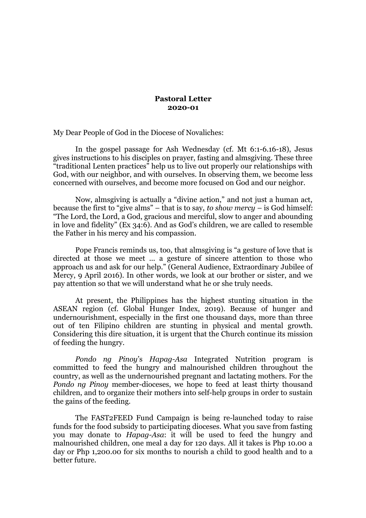## **Pastoral Letter 2020-01**

My Dear People of God in the Diocese of Novaliches:

In the gospel passage for Ash Wednesday (cf. Mt 6:1-6.16-18), Jesus gives instructions to his disciples on prayer, fasting and almsgiving. These three "traditional Lenten practices" help us to live out properly our relationships with God, with our neighbor, and with ourselves. In observing them, we become less concerned with ourselves, and become more focused on God and our neighor.

Now, almsgiving is actually a "divine action," and not just a human act, because the first to "give alms" – that is to say, *to show mercy* – is God himself: "The Lord, the Lord, a God, gracious and merciful, slow to anger and abounding in love and fidelity" (Ex 34:6). And as God's children, we are called to resemble the Father in his mercy and his compassion.

Pope Francis reminds us, too, that almsgiving is "a gesture of love that is directed at those we meet ... a gesture of sincere attention to those who approach us and ask for our help." (General Audience, Extraordinary Jubilee of Mercy, 9 April 2016). In other words, we look at our brother or sister, and we pay attention so that we will understand what he or she truly needs.

At present, the Philippines has the highest stunting situation in the ASEAN region (cf. Global Hunger Index, 2019). Because of hunger and undernourishment, especially in the first one thousand days, more than three out of ten Filipino children are stunting in physical and mental growth. Considering this dire situation, it is urgent that the Church continue its mission of feeding the hungry.

*Pondo ng Pinoy*'s *Hapag-Asa* Integrated Nutrition program is committed to feed the hungry and malnourished children throughout the country, as well as the undernourished pregnant and lactating mothers. For the *Pondo ng Pinoy* member-dioceses, we hope to feed at least thirty thousand children, and to organize their mothers into self-help groups in order to sustain the gains of the feeding.

The FAST2FEED Fund Campaign is being re-launched today to raise funds for the food subsidy to participating dioceses. What you save from fasting you may donate to *Hapag-Asa*: it will be used to feed the hungry and malnourished children, one meal a day for 120 days. All it takes is Php 10.00 a day or Php 1,200.00 for six months to nourish a child to good health and to a better future.